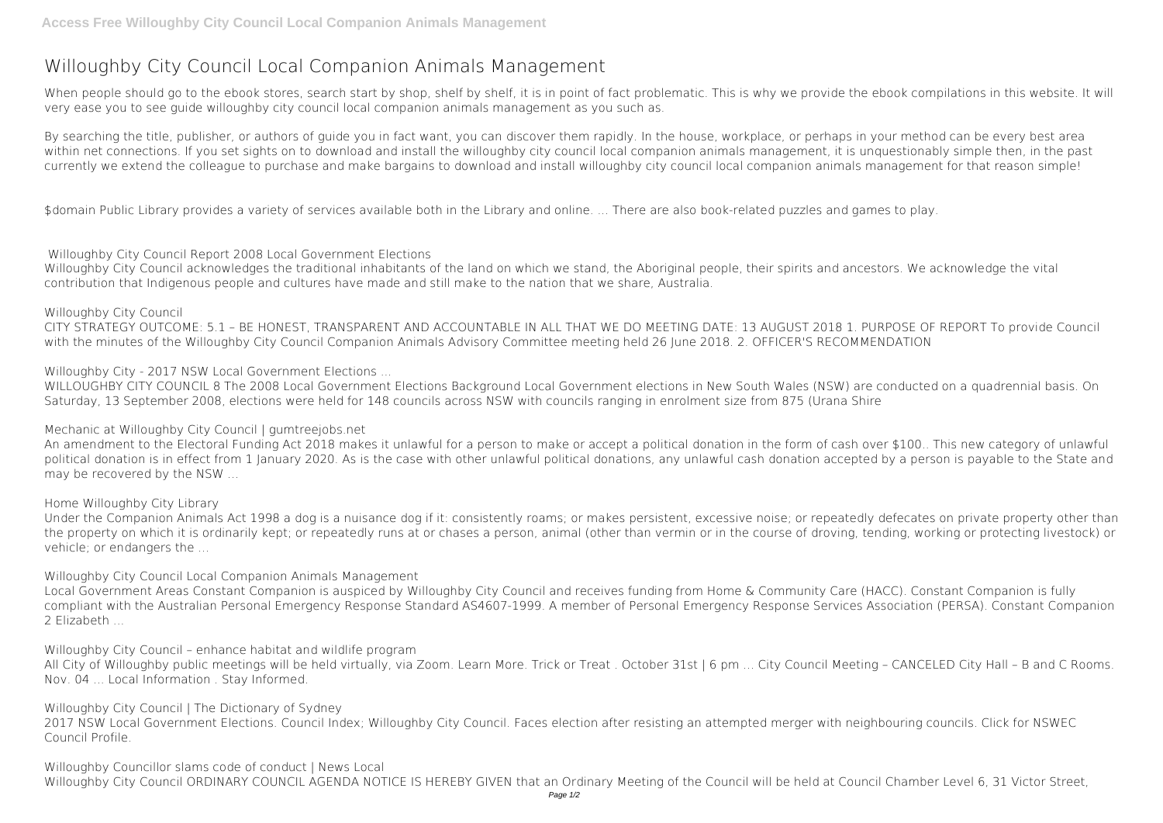## **Willoughby City Council Local Companion Animals Management**

When people should go to the ebook stores, search start by shop, shelf by shelf, it is in point of fact problematic. This is why we provide the ebook compilations in this website. It will very ease you to see guide **willoughby city council local companion animals management** as you such as.

By searching the title, publisher, or authors of quide you in fact want, you can discover them rapidly. In the house, workplace, or perhaps in your method can be every best area within net connections. If you set sights on to download and install the willoughby city council local companion animals management, it is unquestionably simple then, in the past currently we extend the colleague to purchase and make bargains to download and install willoughby city council local companion animals management for that reason simple!

\$domain Public Library provides a variety of services available both in the Library and online. ... There are also book-related puzzles and games to play.

Willoughby City Council acknowledges the traditional inhabitants of the land on which we stand, the Aboriginal people, their spirits and ancestors. We acknowledge the vital contribution that Indigenous people and cultures have made and still make to the nation that we share, Australia.

**Willoughby City Council** CITY STRATEGY OUTCOME: 5.1 – BE HONEST, TRANSPARENT AND ACCOUNTABLE IN ALL THAT WE DO MEETING DATE: 13 AUGUST 2018 1. PURPOSE OF REPORT To provide Council with the minutes of the Willoughby City Council Companion Animals Advisory Committee meeting held 26 June 2018. 2. OFFICER'S RECOMMENDATION

**Willoughby City Council Report 2008 Local Government Elections**

Local Government Areas Constant Companion is auspiced by Willoughby City Council and receives funding from Home & Community Care (HACC). Constant Companion is fully compliant with the Australian Personal Emergency Response Standard AS4607-1999. A member of Personal Emergency Response Services Association (PERSA). Constant Companion 2 Elizabeth ...

**Willoughby City - 2017 NSW Local Government Elections ...**

All City of Willoughby public meetings will be held virtually, via Zoom. Learn More. Trick or Treat. October 31st | 6 pm ... City Council Meeting - CANCELED City Hall - B and C Rooms. Nov. 04 ... Local Information . Stay Informed.

**Willoughby Councillor slams code of conduct | News Local** Willoughby City Council ORDINARY COUNCIL AGENDA NOTICE IS HEREBY GIVEN that an Ordinary Meeting of the Council will be held at Council Chamber Level 6, 31 Victor Street,

WILLOUGHBY CITY COUNCIL 8 The 2008 Local Government Elections Background Local Government elections in New South Wales (NSW) are conducted on a quadrennial basis. On Saturday, 13 September 2008, elections were held for 148 councils across NSW with councils ranging in enrolment size from 875 (Urana Shire

**Mechanic at Willoughby City Council | gumtreejobs.net**

An amendment to the Electoral Funding Act 2018 makes it unlawful for a person to make or accept a political donation in the form of cash over \$100.. This new category of unlawful political donation is in effect from 1 January 2020. As is the case with other unlawful political donations, any unlawful cash donation accepted by a person is payable to the State and may be recovered by the NSW ...

**Home Willoughby City Library**

Under the Companion Animals Act 1998 a dog is a nuisance dog if it: consistently roams; or makes persistent, excessive noise; or repeatedly defecates on private property other than the property on which it is ordinarily kept; or repeatedly runs at or chases a person, animal (other than vermin or in the course of droving, tending, working or protecting livestock) or vehicle; or endangers the ...

**Willoughby City Council Local Companion Animals Management**

**Willoughby City Council – enhance habitat and wildlife program**

**Willoughby City Council | The Dictionary of Sydney**

2017 NSW Local Government Elections. Council Index; Willoughby City Council. Faces election after resisting an attempted merger with neighbouring councils. Click for NSWEC Council Profile.